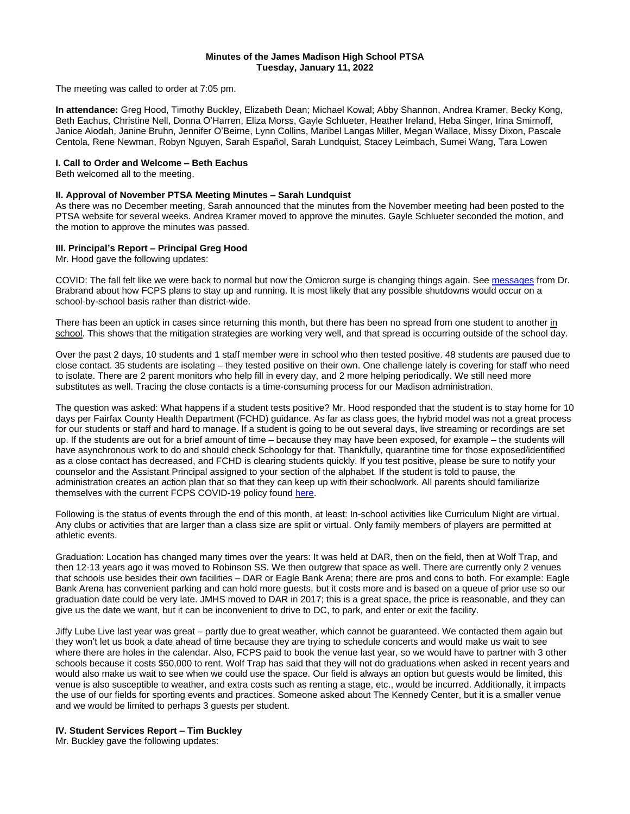#### **Minutes of the James Madison High School PTSA Tuesday, January 11, 2022**

The meeting was called to order at 7:05 pm.

**In attendance:** Greg Hood, Timothy Buckley, Elizabeth Dean; Michael Kowal; Abby Shannon, Andrea Kramer, Becky Kong, Beth Eachus, Christine Nell, Donna O'Harren, Eliza Morss, Gayle Schlueter, Heather Ireland, Heba Singer, Irina Smirnoff, Janice Alodah, Janine Bruhn, Jennifer O'Beirne, Lynn Collins, Maribel Langas Miller, Megan Wallace, Missy Dixon, Pascale Centola, Rene Newman, Robyn Nguyen, Sarah Español, Sarah Lundquist, Stacey Leimbach, Sumei Wang, Tara Lowen

# **I. Call to Order and Welcome – Beth Eachus**

Beth welcomed all to the meeting.

#### **II. Approval of November PTSA Meeting Minutes – Sarah Lundquist**

As there was no December meeting, Sarah announced that the minutes from the November meeting had been posted to the PTSA website for several weeks. Andrea Kramer moved to approve the minutes. Gayle Schlueter seconded the motion, and the motion to approve the minutes was passed.

## **III. Principal's Report – Principal Greg Hood**

Mr. Hood gave the following updates:

COVID: The fall felt like we were back to normal but now the Omicron surge is changing things again. See [messages](https://www.fcps.edu/return-school/return-school-safety/navigating-january-2022-covid-surge?utm_campaign+=&utm_medium=email&utm_source=govdelivery) from Dr. Brabrand about how FCPS plans to stay up and running. It is most likely that any possible shutdowns would occur on a school-by-school basis rather than district-wide.

There has been an uptick in cases since returning this month, but there has been no spread from one student to another in school. This shows that the mitigation strategies are working very well, and that spread is occurring outside of the school day.

Over the past 2 days, 10 students and 1 staff member were in school who then tested positive. 48 students are paused due to close contact. 35 students are isolating – they tested positive on their own. One challenge lately is covering for staff who need to isolate. There are 2 parent monitors who help fill in every day, and 2 more helping periodically. We still need more substitutes as well. Tracing the close contacts is a time-consuming process for our Madison administration.

The question was asked: What happens if a student tests positive? Mr. Hood responded that the student is to stay home for 10 days per Fairfax County Health Department (FCHD) guidance. As far as class goes, the hybrid model was not a great process for our students or staff and hard to manage. If a student is going to be out several days, live streaming or recordings are set up. If the students are out for a brief amount of time – because they may have been exposed, for example – the students will have asynchronous work to do and should check Schoology for that. Thankfully, quarantine time for those exposed/identified as a close contact has decreased, and FCHD is clearing students quickly. If you test positive, please be sure to notify your counselor and the Assistant Principal assigned to your section of the alphabet. If the student is told to pause, the administration creates an action plan that so that they can keep up with their schoolwork. All parents should familiarize themselves with the current FCPS COVID-19 policy found [here.](https://www.fcps.edu/return-school/health-and-safety-guidance-document#students-who-tested-positive-or-have-been-diagnosed-with-covid-19)

Following is the status of events through the end of this month, at least: In-school activities like Curriculum Night are virtual. Any clubs or activities that are larger than a class size are split or virtual. Only family members of players are permitted at athletic events.

Graduation: Location has changed many times over the years: It was held at DAR, then on the field, then at Wolf Trap, and then 12-13 years ago it was moved to Robinson SS. We then outgrew that space as well. There are currently only 2 venues that schools use besides their own facilities – DAR or Eagle Bank Arena; there are pros and cons to both. For example: Eagle Bank Arena has convenient parking and can hold more guests, but it costs more and is based on a queue of prior use so our graduation date could be very late. JMHS moved to DAR in 2017; this is a great space, the price is reasonable, and they can give us the date we want, but it can be inconvenient to drive to DC, to park, and enter or exit the facility.

Jiffy Lube Live last year was great – partly due to great weather, which cannot be guaranteed. We contacted them again but they won't let us book a date ahead of time because they are trying to schedule concerts and would make us wait to see where there are holes in the calendar. Also, FCPS paid to book the venue last year, so we would have to partner with 3 other schools because it costs \$50,000 to rent. Wolf Trap has said that they will not do graduations when asked in recent years and would also make us wait to see when we could use the space. Our field is always an option but guests would be limited, this venue is also susceptible to weather, and extra costs such as renting a stage, etc., would be incurred. Additionally, it impacts the use of our fields for sporting events and practices. Someone asked about The Kennedy Center, but it is a smaller venue and we would be limited to perhaps 3 guests per student.

#### **IV. Student Services Report – Tim Buckley**

Mr. Buckley gave the following updates: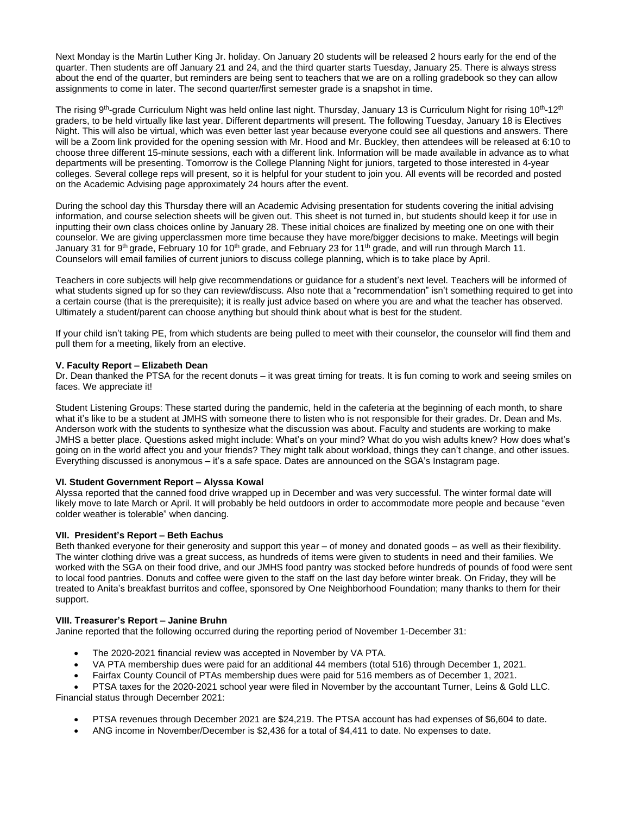Next Monday is the Martin Luther King Jr. holiday. On January 20 students will be released 2 hours early for the end of the quarter. Then students are off January 21 and 24, and the third quarter starts Tuesday, January 25. There is always stress about the end of the quarter, but reminders are being sent to teachers that we are on a rolling gradebook so they can allow assignments to come in later. The second quarter/first semester grade is a snapshot in time.

The rising 9<sup>th</sup>-grade Curriculum Night was held online last night. Thursday, January 13 is Curriculum Night for rising 10<sup>th</sup>-12<sup>th</sup> graders, to be held virtually like last year. Different departments will present. The following Tuesday, January 18 is Electives Night. This will also be virtual, which was even better last year because everyone could see all questions and answers. There will be a Zoom link provided for the opening session with Mr. Hood and Mr. Buckley, then attendees will be released at 6:10 to choose three different 15-minute sessions, each with a different link. Information will be made available in advance as to what departments will be presenting. Tomorrow is the College Planning Night for juniors, targeted to those interested in 4-year colleges. Several college reps will present, so it is helpful for your student to join you. All events will be recorded and posted on the Academic Advising page approximately 24 hours after the event.

During the school day this Thursday there will an Academic Advising presentation for students covering the initial advising information, and course selection sheets will be given out. This sheet is not turned in, but students should keep it for use in inputting their own class choices online by January 28. These initial choices are finalized by meeting one on one with their counselor. We are giving upperclassmen more time because they have more/bigger decisions to make. Meetings will begin January 31 for 9<sup>th</sup> grade, February 10 for 10<sup>th</sup> grade, and February 23 for 11<sup>th</sup> grade, and will run through March 11. Counselors will email families of current juniors to discuss college planning, which is to take place by April.

Teachers in core subjects will help give recommendations or guidance for a student's next level. Teachers will be informed of what students signed up for so they can review/discuss. Also note that a "recommendation" isn't something required to get into a certain course (that is the prerequisite); it is really just advice based on where you are and what the teacher has observed. Ultimately a student/parent can choose anything but should think about what is best for the student.

If your child isn't taking PE, from which students are being pulled to meet with their counselor, the counselor will find them and pull them for a meeting, likely from an elective.

## **V. Faculty Report – Elizabeth Dean**

Dr. Dean thanked the PTSA for the recent donuts – it was great timing for treats. It is fun coming to work and seeing smiles on faces. We appreciate it!

Student Listening Groups: These started during the pandemic, held in the cafeteria at the beginning of each month, to share what it's like to be a student at JMHS with someone there to listen who is not responsible for their grades. Dr. Dean and Ms. Anderson work with the students to synthesize what the discussion was about. Faculty and students are working to make JMHS a better place. Questions asked might include: What's on your mind? What do you wish adults knew? How does what's going on in the world affect you and your friends? They might talk about workload, things they can't change, and other issues. Everything discussed is anonymous – it's a safe space. Dates are announced on the SGA's Instagram page.

## **VI. Student Government Report – Alyssa Kowal**

Alyssa reported that the canned food drive wrapped up in December and was very successful. The winter formal date will likely move to late March or April. It will probably be held outdoors in order to accommodate more people and because "even colder weather is tolerable" when dancing.

## **VII. President's Report – Beth Eachus**

Beth thanked everyone for their generosity and support this year – of money and donated goods – as well as their flexibility. The winter clothing drive was a great success, as hundreds of items were given to students in need and their families. We worked with the SGA on their food drive, and our JMHS food pantry was stocked before hundreds of pounds of food were sent to local food pantries. Donuts and coffee were given to the staff on the last day before winter break. On Friday, they will be treated to Anita's breakfast burritos and coffee, sponsored by One Neighborhood Foundation; many thanks to them for their support.

## **VIII. Treasurer's Report – Janine Bruhn**

Janine reported that the following occurred during the reporting period of November 1-December 31:

- The 2020-2021 financial review was accepted in November by VA PTA.
- VA PTA membership dues were paid for an additional 44 members (total 516) through December 1, 2021.
- Fairfax County Council of PTAs membership dues were paid for 516 members as of December 1, 2021.

• PTSA taxes for the 2020-2021 school year were filed in November by the accountant Turner, Leins & Gold LLC. Financial status through December 2021:

- PTSA revenues through December 2021 are \$24,219. The PTSA account has had expenses of \$6,604 to date.
- ANG income in November/December is \$2,436 for a total of \$4,411 to date. No expenses to date.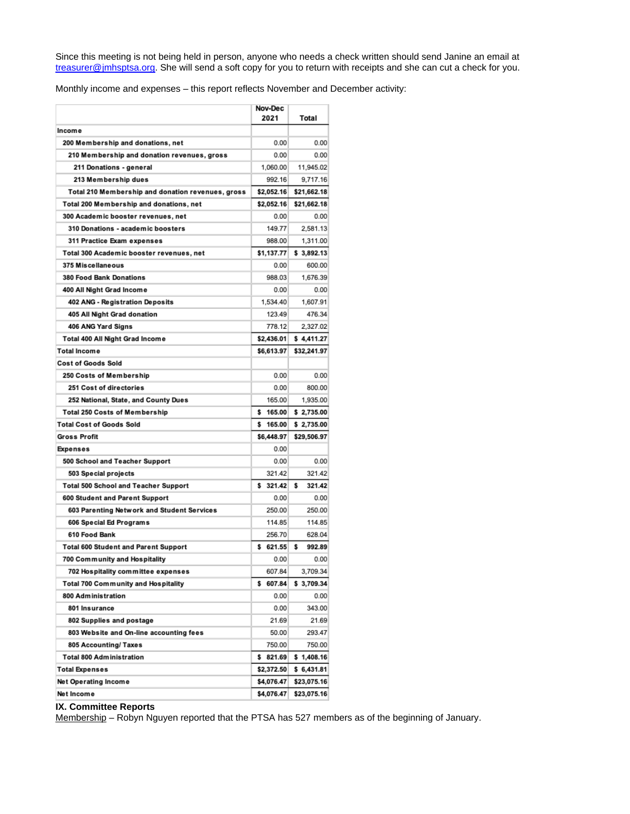Since this meeting is not being held in person, anyone who needs a check written should send Janine an email at [treasurer@jmhsptsa.org.](mailto:treasurer@jmhsptsa.org) She will send a soft copy for you to return with receipts and she can cut a check for you.

Monthly income and expenses – this report reflects November and December activity:

|                                                   | Nov-Dec<br>2021      | Total       |
|---------------------------------------------------|----------------------|-------------|
|                                                   |                      |             |
| <b>Income</b>                                     |                      |             |
| 200 Membership and donations, net                 | 0.00                 | 0.00        |
| 210 Membership and donation revenues, gross       | 0.00                 | 0.00        |
| 211 Donations - general                           | 1,060.00             | 11,945.02   |
| 213 Membership dues                               | 992.16               | 9,717.16    |
| Total 210 Membership and donation revenues, gross | \$2,052.16           | \$21,662.18 |
| Total 200 Membership and donations, net           | \$2,052.16           | \$21,662.18 |
| 300 Academic booster revenues, net                | 0.00<br>149.77       | 0.00        |
| 310 Donations - academic boosters                 |                      | 2,581.13    |
| 311 Practice Exam expenses                        | 988.00<br>\$1.137.77 | 1,311.00    |
| Total 300 Academic booster revenues, net          |                      | \$3,892.13  |
| 375 Miscellaneous                                 | 0.00                 | 600.00      |
| <b>380 Food Bank Donations</b>                    | 988.03               | 1,676.39    |
| 400 All Night Grad Income                         | 0.00                 | 0.00        |
| 402 ANG - Registration Deposits                   | 1,534.40             | 1,607.91    |
| 405 All Night Grad donation                       | 123.49               | 476.34      |
| 406 ANG Yard Signs                                | 778.12               | 2,327.02    |
| Total 400 All Night Grad Income                   | \$2,436.01           | \$4,411.27  |
| Total Income                                      | \$6,613.97           | \$32,241.97 |
| <b>Cost of Goods Sold</b>                         |                      |             |
| 250 Costs of Membership                           | 0.00                 | 0.00        |
| 251 Cost of directories                           | 0.00                 | 800.00      |
| 252 National, State, and County Dues              | 165.00               | 1,935.00    |
| <b>Total 250 Costs of Membership</b>              | 165.00<br>s          | \$2,735.00  |
| <b>Total Cost of Goods Sold</b>                   | 165,00<br>s          | \$2,735.00  |
| <b>Gross Profit</b>                               | \$6,448.97           | \$29,506.97 |
| <b>Expenses</b>                                   | 0.00                 |             |
| 500 School and Teacher Support                    | 0.00                 | 0.00        |
| 503 Special projects                              | 321.42               | 321.42      |
| <b>Total 500 School and Teacher Support</b>       | \$321.42             | 321.42<br>s |
| 600 Student and Parent Support                    | 0.00                 | 0.00        |
| 603 Parenting Network and Student Services        | 250.00               | 250.00      |
| 606 Special Ed Programs                           | 114.85               | 114.85      |
| 610 Food Bank                                     | 256.70               | 628.04      |
| <b>Total 600 Student and Parent Support</b>       | \$621.55             | s<br>992.89 |
| 700 Community and Hospitality                     | 0.00                 | 0.00        |
| 702 Hospitality committee expenses                | 607.84               | 3,709.34    |
| Total 700 Community and Hospitality               | \$ 607.84            | \$ 3,709.34 |
| 800 Administration                                | 0.00                 | 0.00        |
| 801 Insurance                                     | 0.00                 | 343.00      |
| 802 Supplies and postage                          | 21.69                | 21.69       |
| 803 Website and On-line accounting fees           | 50.00                | 293.47      |
| 805 Accounting/ Taxes                             | 750.00               | 750.00      |
| <b>Total 800 Administration</b>                   | \$821.69             | \$1,408.16  |
| <b>Total Expenses</b>                             | \$2,372.50           | \$6,431.81  |
| Net Operating Income                              | \$4,076.47           | \$23,075.16 |
| Net Income                                        | \$4,076.47           | \$23,075.16 |

# **IX. Committee Reports**

Membership – Robyn Nguyen reported that the PTSA has 527 members as of the beginning of January.